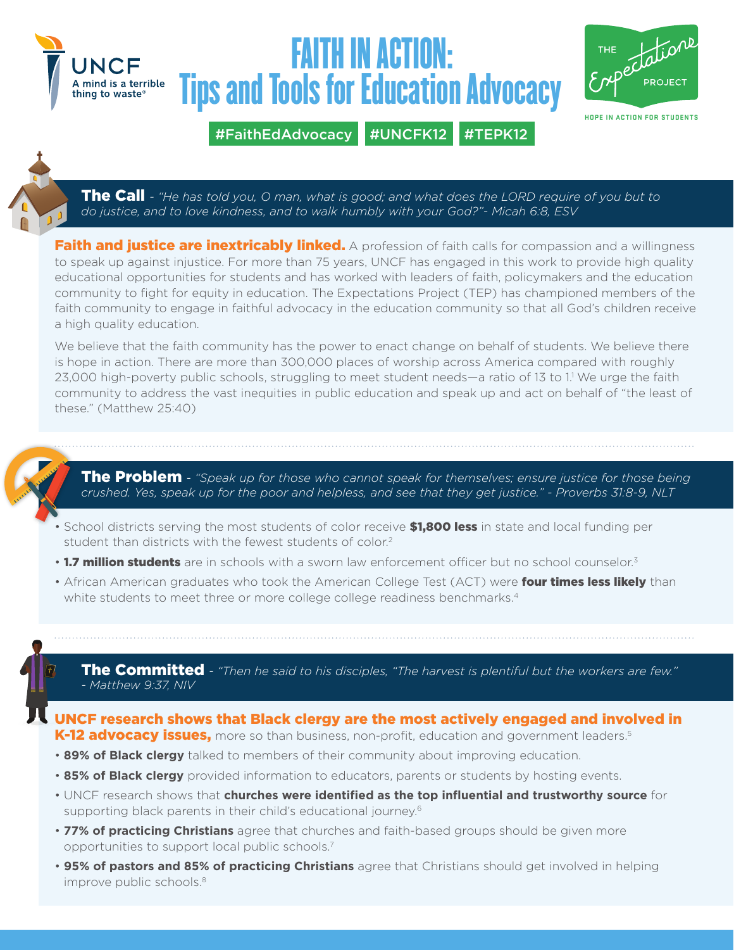

## FAITH IN ACTION: Tips and Tools for Education Advocacy



#FaithEdAdvocacy #UNCFK12 #TEPK12

The Call *- "He has told you, O man, what is good; and what does the LORD require of you but to do justice, and to love kindness, and to walk humbly with your God?"- Micah 6:8, ESV*

**Faith and justice are inextricably linked.** A profession of faith calls for compassion and a willingness to speak up against injustice. For more than 75 years, UNCF has engaged in this work to provide high quality educational opportunities for students and has worked with leaders of faith, policymakers and the education community to fight for equity in education. The Expectations Project (TEP) has championed members of the faith community to engage in faithful advocacy in the education community so that all God's children receive a high quality education.

We believe that the faith community has the power to enact change on behalf of students. We believe there is hope in action. There are more than 300,000 places of worship across America compared with roughly 23,000 high-poverty public schools, struggling to meet student needs—a ratio of 13 to 1.<sup>1</sup> We urge the faith community to address the vast inequities in public education and speak up and act on behalf of "the least of these." (Matthew 25:40)

The Problem *- "Speak up for those who cannot speak for themselves; ensure justice for those being crushed. Yes, speak up for the poor and helpless, and see that they get justice." - Proverbs 31:8-9, NLT*

- School districts serving the most students of color receive \$1,800 less in state and local funding per student than districts with the fewest students of color.<sup>2</sup>
- 1.7 million students are in schools with a sworn law enforcement officer but no school counselor.<sup>3</sup>
- African American graduates who took the American College Test (ACT) were **four times less likely** than white students to meet three or more college college readiness benchmarks.<sup>4</sup>

The Committed *- "Then he said to his disciples, "The harvest is plentiful but the workers are few." - Matthew 9:37, NIV*

## UNCF research shows that Black clergy are the most actively engaged and involved in K-12 advocacy issues, more so than business, non-profit, education and government leaders.<sup>5</sup>

- **89% of Black clergy** talked to members of their community about improving education.
- **85% of Black clergy** provided information to educators, parents or students by hosting events.
- UNCF research shows that **churches were identified as the top influential and trustworthy source** for supporting black parents in their child's educational journey.<sup>6</sup>
- **77% of practicing Christians** agree that churches and faith-based groups should be given more opportunities to support local public schools.7
- **95% of pastors and 85% of practicing Christians** agree that Christians should get involved in helping improve public schools.<sup>8</sup>